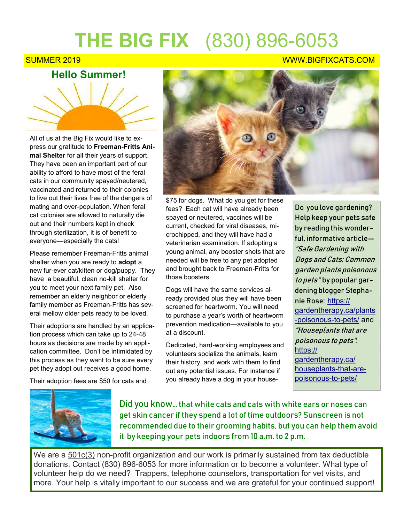## **THE BIG FIX** (830) 896-6053

## **Hello Summer!**

All of us at the Big Fix would like to express our gratitude to **Freeman-Fritts Animal Shelter** for all their years of support. They have been an important part of our ability to afford to have most of the feral cats in our community spayed/neutered, vaccinated and returned to their colonies to live out their lives free of the dangers of mating and over-population. When feral cat colonies are allowed to naturally die out and their numbers kept in check through sterilization, it is of benefit to everyone—especially the cats!

Please remember Freeman-Fritts animal shelter when you are ready to **adopt** a new fur-ever cat/kitten or dog/puppy. They have a beautiful, clean no-kill shelter for you to meet your next family pet. Also remember an elderly neighbor or elderly family member as Freeman-Fritts has several mellow older pets ready to be loved.

Their adoptions are handled by an application process which can take up to 24-48 hours as decisions are made by an application committee. Don't be intimidated by this process as they want to be sure every pet they adopt out receives a good home.

Their adoption fees are \$50 for cats and



\$75 for dogs. What do you get for these fees? Each cat will have already been spayed or neutered, vaccines will be current, checked for viral diseases, microchipped, and they will have had a veterinarian examination. If adopting a young animal, any booster shots that are needed will be free to any pet adopted and brought back to Freeman-Fritts for those boosters.

Dogs will have the same services already provided plus they will have been screened for heartworm. You will need to purchase a year's worth of heartworm prevention medication—available to you at a discount.

Dedicated, hard-working employees and volunteers socialize the animals, learn their history, and work with them to find out any potential issues. For instance if you already have a dog in your house-

Do you love gardening? Help keep your pets safe by reading this wonderful, informative article— "Safe Gardening with Dogs and Cats: Common garden plants poisonous to pets" by popular gardening blogger Stephanie Rose: [https://](https://gardentherapy.ca/plants-poisonous-to-pets/) [gardentherapy.ca/plants](https://gardentherapy.ca/plants-poisonous-to-pets/) -[poisonous](https://gardentherapy.ca/plants-poisonous-to-pets/)-to-pets/ and "Houseplants that are poisonous to pets": [https://](https://gardentherapy.ca/houseplants-that-are-poisonous-to-pets/) [gardentherapy.ca/](https://gardentherapy.ca/houseplants-that-are-poisonous-to-pets/) [houseplants](https://gardentherapy.ca/houseplants-that-are-poisonous-to-pets/)-that-are[poisonous](https://gardentherapy.ca/houseplants-that-are-poisonous-to-pets/)-to-pets/



Did you know… that white cats and cats with white ears or noses can get skin cancer if they spend a lot of time outdoors? Sunscreen is not recommended due to their grooming habits, but you can help them avoid it by keeping your pets indoors from 10 a.m. to 2 p.m.

We are a  $501c(3)$  non-profit organization and our work is primarily sustained from tax deductible donations. Contact (830) 896-6053 for more information or to become a volunteer. What type of volunteer help do we need? Trappers, telephone counselors, transportation for vet visits, and more. Your help is vitally important to our success and we are grateful for your continued support!

## SUMMER 2019 NEWSLET AND THE SUMMER 2019 NEWSLET AND THE SUMMER 2019